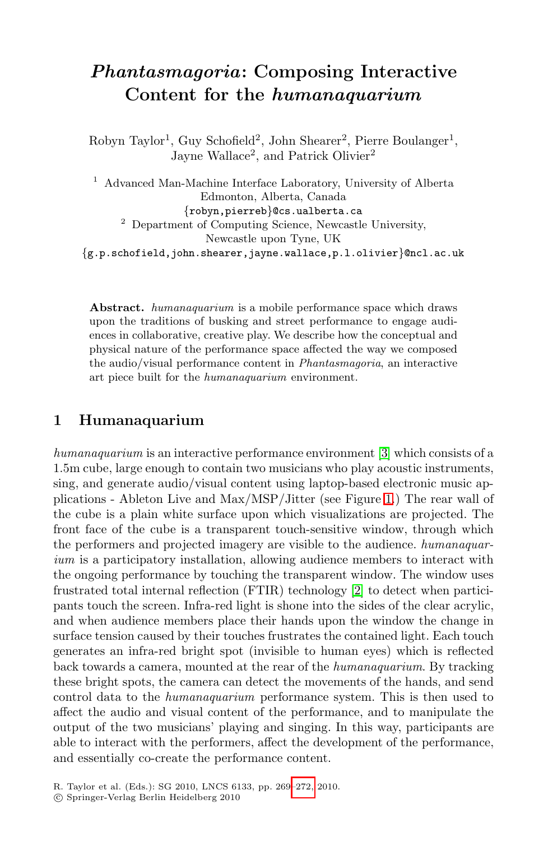# *Phantasy*<sup>1</sup> *Phanggagagianis* **Content for the** *humanaquarium*

Robyn Taylor<sup>1</sup>, Guy Schofield<sup>2</sup>, John Shearer<sup>2</sup>, Pierre Boulanger<sup>1</sup>, Jayne Wallace<sup>2</sup>, and Patrick Olivier<sup>2</sup>

<sup>1</sup> Advanced Man-Machine Interface Laboratory, University of Alberta Edmonton, Alberta, Canada *{*robyn,pierreb*}*@cs.ualberta.ca <sup>2</sup> Department of Computing Science, Newcastle University, Newcastle upon Tyne, UK *{*g.p.schofield,john.shearer,jayne.wallace,p.l.olivier*}*@ncl.ac.uk

**Abstract.** *humanaquarium* is a mobile performance space which draws upon the traditions of busking and street performance to engage audiences in collaborative, creative play. [W](#page-3-0)e describe how the conceptual and physical nature of the performance space affected the way we composed the audio/visual performance content in *Phantasmagoria*, an interactive art piece built for the *humanaquariu[m](#page-1-0)* environment.

## **1 Humanaquarium**

*humanaquarium* is an interactive performance environment [3] which consists of a 1.5m cube, large enough to contain [tw](#page-3-1)o musicians who play acoustic instruments, sing, and generate audio/visual content using laptop-based electronic music applications - Ableton Live and Max/MSP/Jitter (see Figure 1.) The rear wall of the cube is a plain white surface upon which visualizations are projected. The front face of the cube is a transparent touch-sensitive window, through which the performers and projected imagery are visible to the audience. *humanaquarium* is a participatory installation, allowing audience members to interact with the ongoing performance by touching the transparent window. The window uses frustrated total internal reflection (FTIR) technology [2] to detect when participants touch the screen. Infra-red light is shone into the sides of the clear acrylic, and when audience members place their hands upon the window the change in surface tension caused by their touches frustrates the contained light. Each touch generates an infra-red bright spot (invisible to human eyes) which is reflected back towards a camera, [moun](#page-3-2)ted at the rear of the *humanaquarium*. By tracking these bright spots, the camera can detect the movements of the hands, and send control data to the *humanaquarium* performance system. This is then used to affect the audio and visual content of the performance, and to manipulate the output of the two musicians' playing and singing. In this way, participants are able to interact with the performers, affect the development of the performance, and essentially co-create the performance content.

R. Taylor et al. (Eds.): SG 2010, LNCS 6133, pp. 269–272, 2010.

<sup>-</sup>c Springer-Verlag Berlin Heidelberg 2010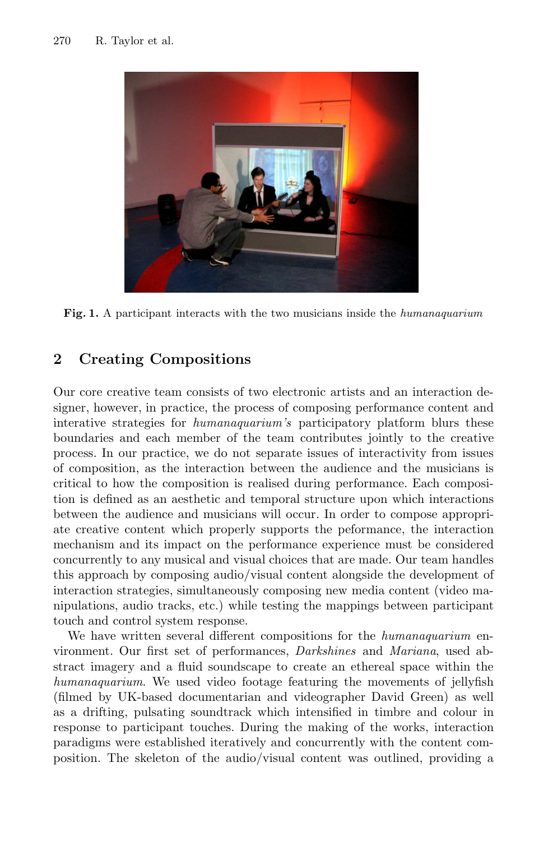

**Fig. 1.** A participant interacts with the two musicians inside the *humanaquarium*

### <span id="page-1-0"></span> $\overline{2}$ **2 Creating Compositions**

Our core creative team consists of two electronic artists and an interaction designer, however, in practice, the process of composing performance content and interative strategies for *humanaquarium's* participatory platform blurs these boundaries and each member of the team contributes jointly to the creative process. In our practice, we do not separate issues of interactivity from issues of composition, as the interaction between the audience and the musicians is critical to how the composition is realised during performance. Each composition is defined as an aesthetic and temporal structure upon which interactions between the audience and musicians will occur. In order to compose appropriate creative content which properly supports the peformance, the interaction mechanism and its impact on the performance experience must be considered concurrently to any musical and visual choices that are made. Our team handles this approach by composing audio/visual content alongside the development of interaction strategies, simultaneously composing new media content (video manipulations, audio tracks, etc.) while testing the mappings between participant touch and control system response.

We have written several different compositions for the *humanaquarium* environment. Our first set of performances, *Darkshines* and *Mariana*, used abstract imagery and a fluid soundscape to create an ethereal space within the *humanaquarium*. We used video footage featuring the movements of jellyfish (filmed by UK-based documentarian and videographer David Green) as well as a drifting, pulsating soundtrack which intensified in timbre and colour in response to participant touches. During the making of the works, interaction paradigms were established iteratively and concurrently with the content composition. The skeleton of the audio/visual content was outlined, providing a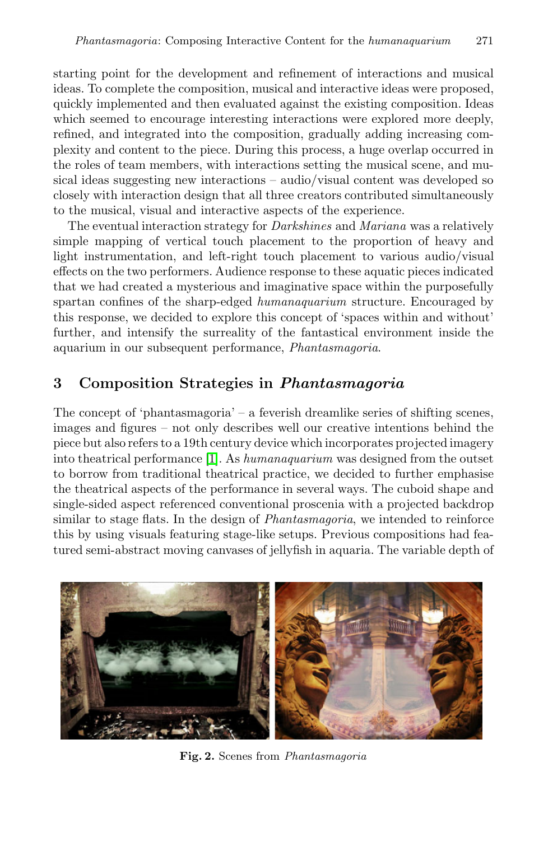starting point for the development and refinement of interactions and musical ideas. To complete the composition, musical and interactive ideas were proposed, quickly implemented and then evaluated against the existing composition. Ideas which seemed to encourage interesting interactions were explored more deeply, refined, and integrated into the composition, gradually adding increasing complexity and content to the piece. During this process, a huge overlap occurred in the roles of team members, with interactions setting the musical scene, and musical ideas suggesting new interactions – audio/visual content was developed so closely with interaction design that all three creators contributed simultaneously to the musical, visual and interactive aspects of the experience.

The eventual interaction strategy for *Darkshines* and *Mariana* was a relatively simple mapping of vertical touch placement to the proportion of heavy and light instrumentation, and left-right touch placement to various audio/visual effects on the two performers. Audience response to these aquatic pieces indicated that we had created a mysterious and imaginative space within the purposefully spartan confines of the sharp-edged *humanaquarium* structure. Encouraged by this response, we decided to explore this concept of 'spaces within and without' further, and intensify the surreality of the fantastical environment inside the aquariu[m](#page-3-3) [i](#page-3-3)n our subsequent performance, *Phantasmagoria*.

### 3 **3 Composition Strategies in** *Phantasmagoria*

The concept of 'phantasmagoria' – a feverish dreamlike series of shifting scenes, images and figures – not only describes well our creative intentions behind the piece but also refers to a 19th century device which incorporates projected imagery into theatrical performance [1]. As *humanaquarium* was designed from the outset to borrow from traditional theatrical practice, we decided to further emphasise the theatrical aspects of the performance in several ways. The cuboid shape and single-sided aspect referenced conventional proscenia with a projected backdrop similar to stage flats. In the design of *Phantasmagoria*, we intended to reinforce this by using visuals featuring stage-like setups. Previous compositions had featured semi-abstract moving canvases of jellyfish in aquaria. The variable depth of



**Fig. 2.** Scenes from *Phantasmagoria*